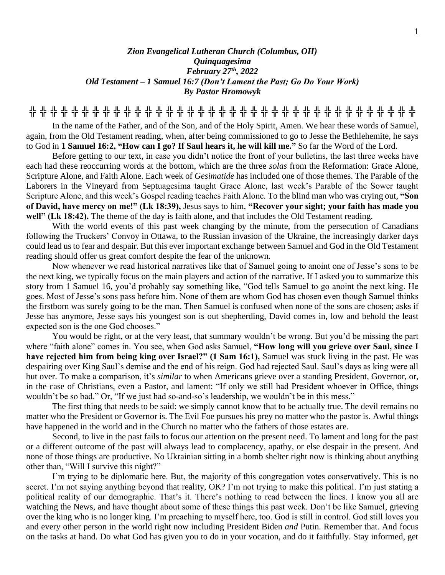## *Zion Evangelical Lutheran Church (Columbus, OH) Quinquagesima February 27th , 2022 Old Testament – 1 Samuel 16:7 (Don't Lament the Past; Go Do Your Work) By Pastor Hromowyk*

**╬ ╬ ╬ ╬ ╬ ╬ ╬ ╬ ╬ ╬ ╬ ╬ ╬ ╬ ╬ ╬ ╬ ╬ ╬ ╬ ╬ ╬ ╬ ╬ ╬ ╬ ╬ ╬ ╬ ╬ ╬ ╬ ╬ ╬ ╬ ╬ ╬**

In the name of the Father, and of the Son, and of the Holy Spirit, Amen. We hear these words of Samuel, again, from the Old Testament reading, when, after being commissioned to go to Jesse the Bethlehemite, he says to God in **1 Samuel 16:2, "How can I go? If Saul hears it, he will kill me."** So far the Word of the Lord.

Before getting to our text, in case you didn't notice the front of your bulletins, the last three weeks have each had these reoccurring words at the bottom, which are the three *solas* from the Reformation: Grace Alone, Scripture Alone, and Faith Alone. Each week of *Gesimatide* has included one of those themes. The Parable of the Laborers in the Vineyard from Septuagesima taught Grace Alone, last week's Parable of the Sower taught Scripture Alone, and this week's Gospel reading teaches Faith Alone. To the blind man who was crying out, **"Son of David, have mercy on me!" (Lk 18:39),** Jesus says to him, **"Recover your sight; your faith has made you well" (Lk 18:42).** The theme of the day is faith alone, and that includes the Old Testament reading.

With the world events of this past week changing by the minute, from the persecution of Canadians following the Truckers' Convoy in Ottawa, to the Russian invasion of the Ukraine, the increasingly darker days could lead us to fear and despair. But this ever important exchange between Samuel and God in the Old Testament reading should offer us great comfort despite the fear of the unknown.

Now whenever we read historical narratives like that of Samuel going to anoint one of Jesse's sons to be the next king, we typically focus on the main players and action of the narrative. If I asked you to summarize this story from 1 Samuel 16, you'd probably say something like, "God tells Samuel to go anoint the next king. He goes. Most of Jesse's sons pass before him. None of them are whom God has chosen even though Samuel thinks the firstborn was surely going to be the man. Then Samuel is confused when none of the sons are chosen; asks if Jesse has anymore, Jesse says his youngest son is out shepherding, David comes in, low and behold the least expected son is the one God chooses."

You would be right, or at the very least, that summary wouldn't be wrong. But you'd be missing the part where "faith alone" comes in. You see, when God asks Samuel, **"How long will you grieve over Saul, since I have rejected him from being king over Israel?" (1 Sam 16:1),** Samuel was stuck living in the past. He was despairing over King Saul's demise and the end of his reign. God had rejected Saul. Saul's days as king were all but over. To make a comparison, it's *similar* to when Americans grieve over a standing President, Governor, or, in the case of Christians, even a Pastor, and lament: "If only we still had President whoever in Office, things wouldn't be so bad." Or, "If we just had so-and-so's leadership, we wouldn't be in this mess."

The first thing that needs to be said: we simply cannot know that to be actually true. The devil remains no matter who the President or Governor is. The Evil Foe pursues his prey no matter who the pastor is. Awful things have happened in the world and in the Church no matter who the fathers of those estates are.

Second, to live in the past fails to focus our attention on the present need. To lament and long for the past or a different outcome of the past will always lead to complacency, apathy, or else despair in the present. And none of those things are productive. No Ukrainian sitting in a bomb shelter right now is thinking about anything other than, "Will I survive this night?"

I'm trying to be diplomatic here. But, the majority of this congregation votes conservatively. This is no secret. I'm not saying anything beyond that reality, OK? I'm not trying to make this political. I'm just stating a political reality of our demographic. That's it. There's nothing to read between the lines. I know you all are watching the News, and have thought about some of these things this past week. Don't be like Samuel, grieving over the king who is no longer king. I'm preaching to myself here, too. God is still in control. God still loves you and every other person in the world right now including President Biden *and* Putin. Remember that. And focus on the tasks at hand. Do what God has given you to do in your vocation, and do it faithfully. Stay informed, get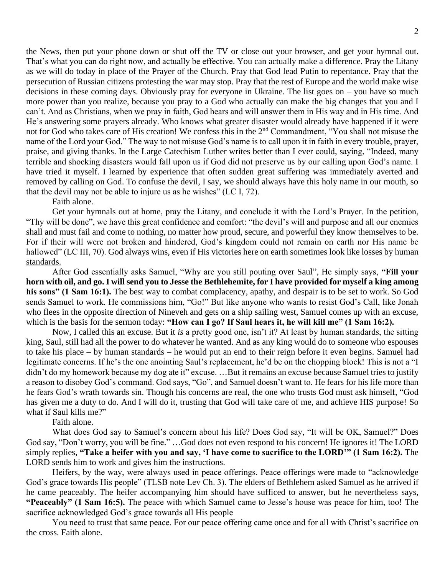the News, then put your phone down or shut off the TV or close out your browser, and get your hymnal out. That's what you can do right now, and actually be effective. You can actually make a difference. Pray the Litany as we will do today in place of the Prayer of the Church. Pray that God lead Putin to repentance. Pray that the persecution of Russian citizens protesting the war may stop. Pray that the rest of Europe and the world make wise decisions in these coming days. Obviously pray for everyone in Ukraine. The list goes on – you have so much more power than you realize, because you pray to a God who actually can make the big changes that you and I can't. And as Christians, when we pray in faith, God hears and will answer them in His way and in His time. And He's answering some prayers already. Who knows what greater disaster would already have happened if it were not for God who takes care of His creation! We confess this in the 2nd Commandment, "You shall not misuse the name of the Lord your God." The way to not misuse God's name is to call upon it in faith in every trouble, prayer, praise, and giving thanks. In the Large Catechism Luther writes better than I ever could, saying, "Indeed, many terrible and shocking disasters would fall upon us if God did not preserve us by our calling upon God's name. I have tried it myself. I learned by experience that often sudden great suffering was immediately averted and removed by calling on God. To confuse the devil, I say, we should always have this holy name in our mouth, so that the devil may not be able to injure us as he wishes" (LC I, 72).

Faith alone.

Get your hymnals out at home, pray the Litany, and conclude it with the Lord's Prayer. In the petition, "Thy will be done", we have this great confidence and comfort: "the devil's will and purpose and all our enemies shall and must fail and come to nothing, no matter how proud, secure, and powerful they know themselves to be. For if their will were not broken and hindered, God's kingdom could not remain on earth nor His name be hallowed" (LC III, 70). God always wins, even if His victories here on earth sometimes look like losses by human standards.

After God essentially asks Samuel, "Why are you still pouting over Saul", He simply says, **"Fill your horn with oil, and go. I will send you to Jesse the Bethlehemite, for I have provided for myself a king among his sons" (1 Sam 16:1).** The best way to combat complacency, apathy, and despair is to be set to work. So God sends Samuel to work. He commissions him, "Go!" But like anyone who wants to resist God's Call, like Jonah who flees in the opposite direction of Nineveh and gets on a ship sailing west, Samuel comes up with an excuse, which is the basis for the sermon today: "How can I go? If Saul hears it, he will kill me" (1 Sam 16:2).

Now, I called this an excuse. But it *is* a pretty good one, isn't it? At least by human standards, the sitting king, Saul, still had all the power to do whatever he wanted. And as any king would do to someone who espouses to take his place – by human standards – he would put an end to their reign before it even begins. Samuel had legitimate concerns. If he's the one anointing Saul's replacement, he'd be on the chopping block! This is not a "I didn't do my homework because my dog ate it" excuse. ...But it remains an excuse because Samuel tries to justify a reason to disobey God's command. God says, "Go", and Samuel doesn't want to. He fears for his life more than he fears God's wrath towards sin. Though his concerns are real, the one who trusts God must ask himself, "God has given me a duty to do. And I will do it, trusting that God will take care of me, and achieve HIS purpose! So what if Saul kills me?"

Faith alone.

What does God say to Samuel's concern about his life? Does God say, "It will be OK, Samuel?" Does God say, "Don't worry, you will be fine." …God does not even respond to his concern! He ignores it! The LORD simply replies, **"Take a heifer with you and say, 'I have come to sacrifice to the LORD'" (1 Sam 16:2).** The LORD sends him to work and gives him the instructions.

Heifers, by the way, were always used in peace offerings. Peace offerings were made to "acknowledge God's grace towards His people" (TLSB note Lev Ch. 3). The elders of Bethlehem asked Samuel as he arrived if he came peaceably. The heifer accompanying him should have sufficed to answer, but he nevertheless says, **"Peaceably" (1 Sam 16:5).** The peace with which Samuel came to Jesse's house was peace for him, too! The sacrifice acknowledged God's grace towards all His people

You need to trust that same peace. For our peace offering came once and for all with Christ's sacrifice on the cross. Faith alone.